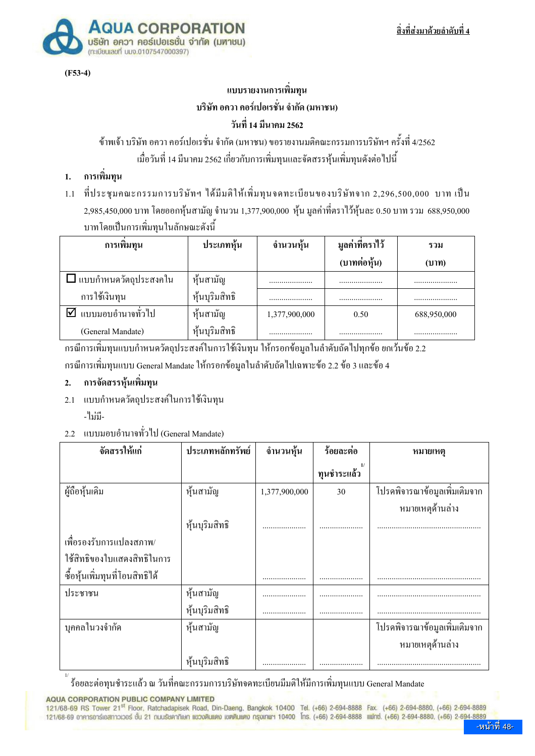

 $(F53-4)$ 

# ้แบบรายงานการเพิ่มทน บริษัท อควา คอร์เปอเรชั่น จำกัด (มหาชน)

### ้วันที่ 14 มีนาคม 2562

### ้ ข้าพเจ้า บริษัท อควา คอร์เปอเรชั่น จำกัด (มหาชน) ขอรายงานมติคณะกรรมการบริษัทฯ ครั้งที่ 4/2562 เมื่อวันที่ 14 มีนาคม 2562 เกี่ยวกับการเพิ่มทุนและจัดสรรหุ้นเพิ่มทุนดังต่อไปนี้

#### ิการเพิ่มทน  $1.$

1.1 ที่ประชมคณะกรรมการบริษัทฯ ได้มีมติให้เพิ่มทนจดทะเบียนของบริษัทจาก 2.296.500.000 บาท เป็น 2,985,450,000 บาท โดยออกหุ้นสามัญ จำนวน 1,377,900,000 หุ้น มูลค่าที่ตราไว้หุ้นละ 0.50 บาท รวม 688,950,000 บาทโดยเป็นการเพิ่มทุนในลักษณะดังนี้

| การเพ่มทุน                   | ประเภทหุ้น      | จำนวนหุ้น     | มูลค่าที่ตราไว้ | รวม         |
|------------------------------|-----------------|---------------|-----------------|-------------|
|                              |                 |               | (บาทต่อหุ้น)    | (บาท)       |
| $\Box$ แบบกำหนดวัตถุประสงคใน | หุ้นสามัญ       |               |                 |             |
| การใช้เงินทุน                | หุ้นบุริมสิทธิ์ |               |                 |             |
| แบบมอบอำนาจทั่วไป            | หุ้นสามัญ       | 1,377,900,000 | 0.50            | 688,950,000 |
| (General Mandate)            | หุ้นบุริมสิทธิ์ |               |                 |             |

ิกรณีการเพิ่มทุนแบบกำหนดวัตถุประสงค์ในการใช้เงินทุน ให้กรอกข้อมูลในลำดับถัดไปทุกข้อ ยกเว้นข้อ 2.2

ิ กรณีการเพิ่มทุนแบบ General Mandate ให้กรอกข้อมูลในลำดับถัดไปเฉพาะข้อ 2.2 ข้อ 3 และข้อ 4

#### การจัดสรรหุ้นเพิ่มทุน  $\overline{2}$ .

- 2.1 แบบกำหนดวัตถุประสงค์ในการใช้เงินทุน -ไม่มี-
- 2.2 แบบมอบอำนาจทั่วไป (General Mandate)

| จัดสรรให้แก่                   | ประเภทหลักทรัพย์ | จำนวนหุ้น     | ร้อยละต่อ         | หมายเหตุ                      |
|--------------------------------|------------------|---------------|-------------------|-------------------------------|
|                                |                  |               | 1/<br>ทุนชำระแล้ว |                               |
| ผู้ถือหุ้นเดิม                 | หุ้นสามัญ        | 1,377,900,000 | 30                | โปรคพิจารณาข้อมูลเพิ่มเติมจาก |
|                                |                  |               |                   | หมายเหตุด้านล่าง              |
|                                | หุ้นบุริมสิทธิ   |               |                   |                               |
| เพื่อรองรับการแปลงสภาพ/        |                  |               |                   |                               |
| ใช้สิทธิของใบแสดงสิทธิในการ    |                  |               |                   |                               |
| ซื้อหุ้นเพิ่มทุนที่โอนสิทธิได้ |                  |               |                   |                               |
| ประชาชน                        | หุ้นสามัญ        |               |                   |                               |
|                                | หุ้นบุริมสิทธิ   |               |                   |                               |
| บุคคลในวงจำกัด                 | หุ้นสามัญ        |               |                   | โปรคพิจารณาข้อมูลเพิ่มเติมจาก |
|                                |                  |               |                   | หมายเหตุด้านล่าง              |
|                                | หุ้นบริมสิทธิ    |               |                   |                               |

้ร้อยละต่อทนชำระแล้ว ณ วันที่คณะกรรมการบริษัทจดทะเบียนมีมติให้มีการเพิ่มทนแบบ General Mandate

**AQUA CORPORATION PUBLIC COMPANY LIMITED** 

121/68-69 RS Tower 21st Floor, Ratchadapisek Road, Din-Daeng, Bangkok 10400 Tel. (+66) 2-694-8888 Fax. (+66) 2-694-8880, (+66) 2-694-8889 121/68-69 อาคารอาร์เอสทาวเวอร์ ชั้น 21 กุนบริษฎากิเษก แขวงดินแดง เขตดินแดง กรุงเทพฯ 10400 โทร. (+66) 2-694-8888 แฟทซ์. (+66) 2-694-8880. (+66) 2-694-8889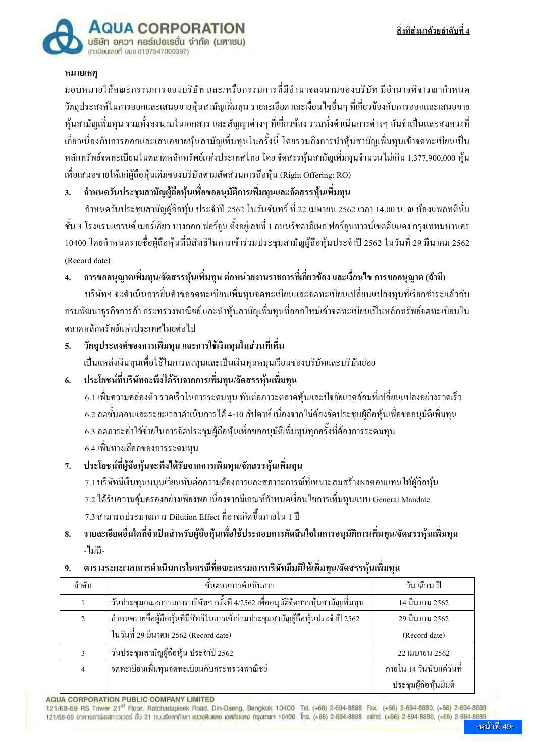

### หมายเหต

มอบหมายให้คณะกรรมการของบริษัท และ/หรือกรรมการที่มีอำนาจลงนามของบริษัท มีอำนาจพิจารณากำหนด ้วัตถุประสงค์ในการออกและเสนอขายหุ้นสามัญเพิ่มทุน รายละเอียด และเงื่อนไขอื่นๆ ที่เกี่ยวข้องกับการออกและเสนอขาย ้ห้นสามัญเพิ่มทน รวมทั้งลงนามในเอกสาร และสัญญาต่างๆ ที่เกี่ยวข้อง รวมทั้งคำเนินการต่างๆ อันจำเป็นและสมควรที่ ้เกี่ยวเนื่องกับการออกและเสนอขายหุ้นสามัญเพิ่มทุนในครั้งนี้ โดยรวมถึงการนำหุ้นสามัญเพิ่มทุนเข้าจดทะเบียนเป็น หลักทรัพย์จดทะเบียนในตลาดหลักทรัพย์แห่งประเทศไทย โดย จัดสรรห้นสามัณเพิ่มทนจำนวนไม่เกิน 1.377.900.000 ห้น เพื่อเสนอขายให้แก่ผู้ถือหุ้นเดิมของบริษัทตามสัดส่วนการถือหุ้น (Right Offering: RO)

#### ี กำหนดวันประชมสามัฌผู้ถือห้นเพื่อขออนมัติการเพิ่มทนและจัดสรรห้นเพิ่มทน  $3.$

้กำหนดวันประชุมสามัญผู้ถือหุ้น ประจำปี 2562 ในวันจันทร์ ที่ 22 เมษายน 2562 เวลา 14.00 น. ณ ห้องแพลทตินั่ม ์ชั้น 3 โรงแรมแกรนด์ เมอร์เคียว บางกอก ฟอร์จูน ตั้งอยู่เลขที่ 1 ถนนรัชดาภิเษก ฟอร์จูนทาวน์เขตดินแดง กรุงเทพมหานคร 10400 โดยกำหนดรายชื่อผู้ถือหุ้นที่มีสิทธิในการเข้าร่วมประชุมสามัญผู้ถือหุ้นประจำปี 2562 ในวันที่ 29 มีนาคม 2562 (Record date)

ิ การขออนฌาตเพิ่มทน/จัดสรรห้นเพิ่มทน ต่อหน่วยงานราชการที่เกี่ยวข้อง และเงื่อนไข การขออนฌาต (ถ้ามี)  $\overline{4}$ .

้ บริษัทฯ จะคำเนินการขึ้นคำขอจคทะเบียนเพิ่มทนจคทะเบียนและจคทะเบียนเปลี่ยนแปลงทนที่เรียกชำระแล้วกับ ้ กรมพัฒนาธรกิจการค้ำ กระทรวงพาณิชย์ และนำห้นสามัณเพิ่มทนที่ออกใหม่เข้าจคทะเบียนเป็นหลักทรัพย์จคทะเบียนใน ็ตลาดหลักทรัพย์แห่งประเทศไทยต่อไป

วัตถุประสงค์ของการเพิ่มทุน และการใช้เงินทุนในส่วนที่เพิ่ม  $5.$ 

เป็นแหล่งเงินทุนเพื่อใช้ในการลงทุนและเป็นเงินทุนหมุนเวียนของบริษัทและบริษัทย่อย

#### ประโยชน์ที่บริษัทจะพึงได้รับจากการเพิ่มทุน/จัดสรรหุ้นเพิ่มทุน 6.

่ 6.1 เพิ่มความคล่องตัว รวดเร็วในการระดมทุน ทันต่อภาวะตลาดหุ้นและปัจจัยแวดล้อมที่เปลี่ยนแปลงอย่างรวดเร็ว 6.2 ลดขั้นตอนและระขะเวลาดำเนินการได้ 4-10 สัปดาห์ เนื่องจากไม่ต้องจัดประชมผู้ถือห้นเพื่อขออนมัติเพิ่มทน 6.3 ลดภาระค่าใช้จ่ายในการจัดประชมผู้ถือห้นเพื่อขออนมัติเพิ่มทนทกครั้งที่ต้องการระดมทน 6.4 เพิ่มทางเลือกของการระดมทุน

#### ประโยชน์ที่ผู้ถือหุ้นจะพึงได้รับจากการเพิ่มทุน/จัดสรรหุ้นเพิ่มทุน 7.

่ 7.1 บริษัทมีเงินทุนหมุนเวียนทันต่อความต้องการและสภาวะการณ์ที่เหมาะสมสร้างผลตอบแทนให้ผู้ถือหุ้น

7.2 ใด้รับความค้มครองอย่างเพียงพอ เนื่องจากมีเกณฑ์กำหนดเงื่อน ใงการเพิ่มทนแบบ General Mandate ่ 7.3 สามารถประมาณการ Dilution Effect ที่อาจเกิดขึ้นภายใน 1 ปี

้รายละเอียดอื่นใดที่จำเป็นสำหรับผู้ถือหุ้นเพื่อใช้ประกอบการตัดสินใจในการอนุมัติการเพิ่มทุน/จัดสรรหุ้นเพิ่มทุน 8. -ไม่ถี-

#### ี่ ตารางระยะเวลาการดำเนินการในกรณีที่คณะกรรมการบริษัทมีมติให้เพิ่มทน/จัดสรรหันเพิ่มทน  $9<sub>1</sub>$

| ลำดับ | ข้นตอนการคำเนินการ                                                              | วัน เดือน ปี               |
|-------|---------------------------------------------------------------------------------|----------------------------|
|       | วันประชุมคณะกรรมการบริษัทฯ ครั้งที่ 4/2562 เพื่ออนุมัติจัดสรรหุ้นสามัญเพิ่มทุน  | 14 มีนาคม 2562             |
| 2     | ้กำหนดรายชื่อผู้ถือหุ้นที่มีสิทธิในการเข้าร่วมประชุมสามัญผู้ถือหุ้นประจำปี 2562 | 29 มีนาคม 2562             |
|       | ในวันที่ 29 มีนาคม 2562 (Record date)                                           | (Record date)              |
| 3     | วันประชุมสามัญผู้ถือหุ้น ประจำปี 2562                                           | 22 เมษายน 2562             |
| 4     | จดทะเบียนเพิ่มทุนจดทะเบียนกับกระทรวงพาณิชย์                                     | ึ ภายใน 14 วันนับแต่วันที่ |
|       |                                                                                 | ประชุมผู้ถือหุ้นมีมติ      |

**AQUA CORPORATION PUBLIC COMPANY LIMITED** 

121/68-69 RS Tower 21<sup>st</sup> Floor, Ratchadapisek Road, Din-Daeng, Bangkok 10400 Tel. (+66) 2-694-8888 Fax. (+66) 2-694-8880, (+66) 2-694-8889 121/68-69 อาคารอาร์เอสทาวเวอร์ ชั้น 21 กุมบริษฎาภิเษก แขวงดินแดง เขตดินแดง กรุงเทพฯ 10400 โทร. (+66) 2-694-8888 แฟทซ์. (+66) 2-694-8880. (+66) 2-694-8889